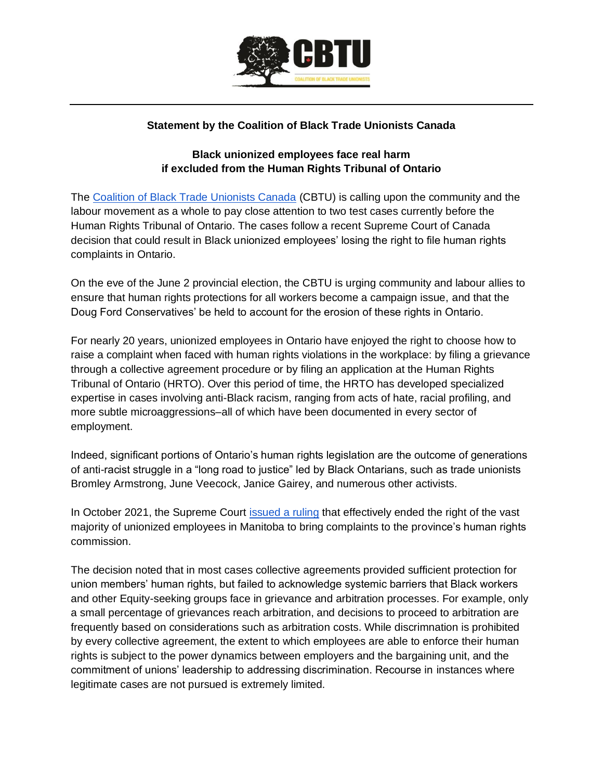

## **Statement by the Coalition of Black Trade Unionists Canada**

## **Black unionized employees face real harm if excluded from the Human Rights Tribunal of Ontario**

The [Coalition of Black Trade Unionists Canada](http://cbtu.ca/) (CBTU) is calling upon the community and the labour movement as a whole to pay close attention to two test cases currently before the Human Rights Tribunal of Ontario. The cases follow a recent Supreme Court of Canada decision that could result in Black unionized employees' losing the right to file human rights complaints in Ontario.

On the eve of the June 2 provincial election, the CBTU is urging community and labour allies to ensure that human rights protections for all workers become a campaign issue, and that the Doug Ford Conservatives' be held to account for the erosion of these rights in Ontario.

For nearly 20 years, unionized employees in Ontario have enjoyed the right to choose how to raise a complaint when faced with human rights violations in the workplace: by filing a grievance through a collective agreement procedure or by filing an application at the Human Rights Tribunal of Ontario (HRTO). Over this period of time, the HRTO has developed specialized expertise in cases involving anti-Black racism, ranging from acts of hate, racial profiling, and more subtle microaggressions–all of which have been documented in every sector of employment.

Indeed, significant portions of Ontario's human rights legislation are the outcome of generations of anti-racist struggle in a "long road to justice" led by Black Ontarians, such as trade unionists Bromley Armstrong, June Veecock, Janice Gairey, and numerous other activists.

In Oc[t](https://www.canlii.org/en/ca/scc/doc/2021/2021scc42/2021scc42.html)ober 2021, the Supreme Court [issued a ruling](https://www.canlii.org/en/ca/scc/doc/2021/2021scc42/2021scc42.html) that effectively ended the right of the vast majority of unionized employees in Manitoba to bring complaints to the province's human rights commission.

The decision noted that in most cases collective agreements provided sufficient protection for union members' human rights, but failed to acknowledge systemic barriers that Black workers and other Equity-seeking groups face in grievance and arbitration processes. For example, only a small percentage of grievances reach arbitration, and decisions to proceed to arbitration are frequently based on considerations such as arbitration costs. While discrimnation is prohibited by every collective agreement, the extent to which employees are able to enforce their human rights is subject to the power dynamics between employers and the bargaining unit, and the commitment of unions' leadership to addressing discrimination. Recourse in instances where legitimate cases are not pursued is extremely limited.